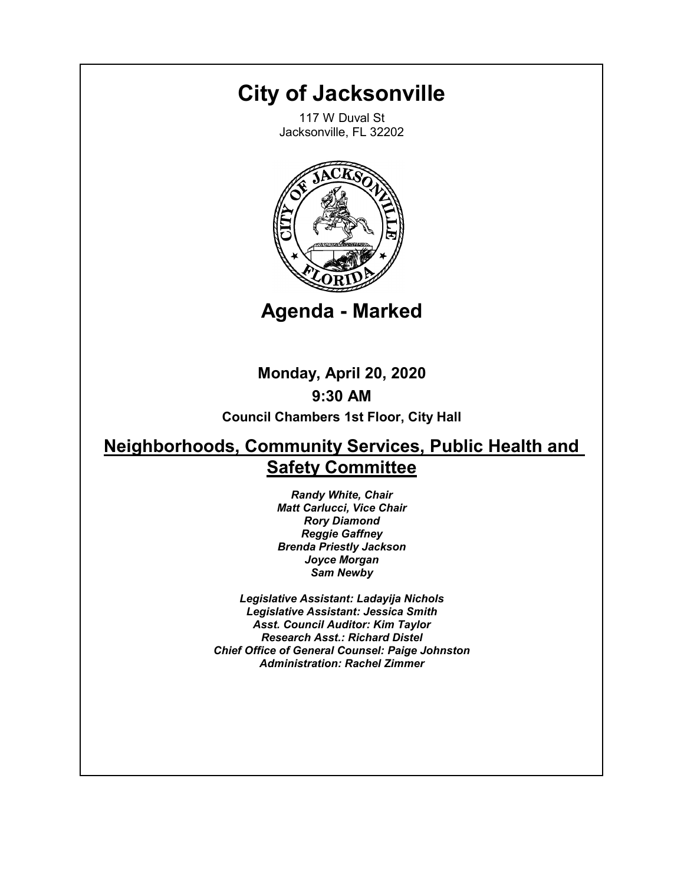# **City of Jacksonville**

117 W Duval St Jacksonville, FL 32202



**Agenda - Marked**

**Monday, April 20, 2020 9:30 AM**

**Council Chambers 1st Floor, City Hall**

## **Neighborhoods, Community Services, Public Health and Safety Committee**

*Randy White, Chair Matt Carlucci, Vice Chair Rory Diamond Reggie Gaffney Brenda Priestly Jackson Joyce Morgan Sam Newby*

*Legislative Assistant: Ladayija Nichols Legislative Assistant: Jessica Smith Asst. Council Auditor: Kim Taylor Research Asst.: Richard Distel Chief Office of General Counsel: Paige Johnston Administration: Rachel Zimmer*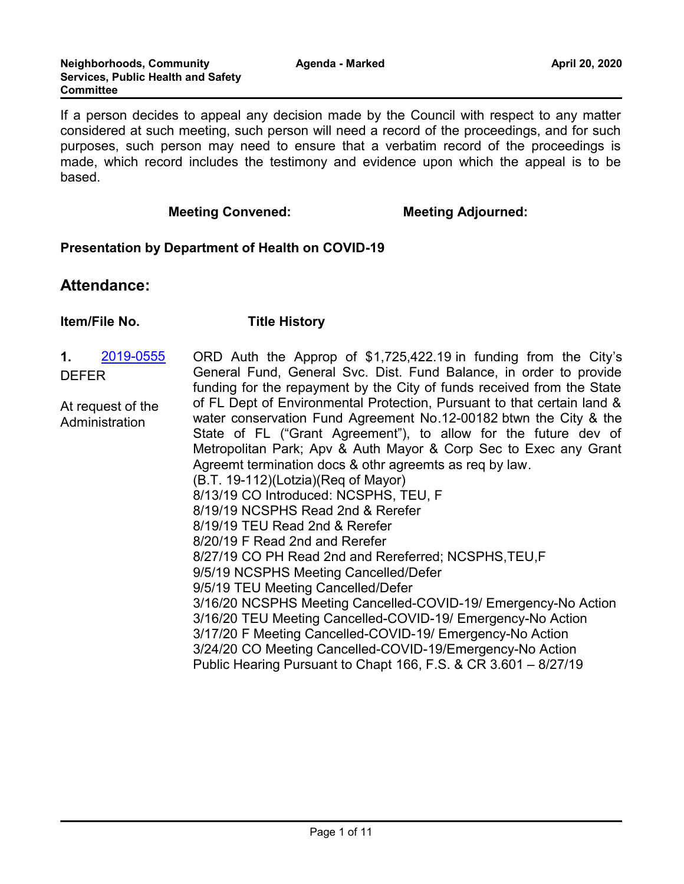If a person decides to appeal any decision made by the Council with respect to any matter considered at such meeting, such person will need a record of the proceedings, and for such purposes, such person may need to ensure that a verbatim record of the proceedings is made, which record includes the testimony and evidence upon which the appeal is to be based.

#### **Meeting Convened:** Meeting Adjourned:

#### **Presentation by Department of Health on COVID-19**

## **Attendance:**

#### **Item/File No. Title History**

- **1.** [2019-0555](http://jaxcityc.legistar.com/gateway.aspx?m=l&id=/matter.aspx?key=1680) DEFER
- ORD Auth the Approp of \$1,725,422.19 in funding from the City's General Fund, General Svc. Dist. Fund Balance, in order to provide funding for the repayment by the City of funds received from the State of FL Dept of Environmental Protection, Pursuant to that certain land & water conservation Fund Agreement No.12-00182 btwn the City & the State of FL ("Grant Agreement"), to allow for the future dev of Metropolitan Park; Apv & Auth Mayor & Corp Sec to Exec any Grant Agreemt termination docs & othr agreemts as req by law. (B.T. 19-112)(Lotzia)(Req of Mayor) 8/13/19 CO Introduced: NCSPHS, TEU, F 8/19/19 NCSPHS Read 2nd & Rerefer 8/19/19 TEU Read 2nd & Rerefer 8/20/19 F Read 2nd and Rerefer 8/27/19 CO PH Read 2nd and Rereferred; NCSPHS,TEU,F 9/5/19 NCSPHS Meeting Cancelled/Defer 9/5/19 TEU Meeting Cancelled/Defer 3/16/20 NCSPHS Meeting Cancelled-COVID-19/ Emergency-No Action 3/16/20 TEU Meeting Cancelled-COVID-19/ Emergency-No Action 3/17/20 F Meeting Cancelled-COVID-19/ Emergency-No Action 3/24/20 CO Meeting Cancelled-COVID-19/Emergency-No Action Public Hearing Pursuant to Chapt 166, F.S. & CR 3.601 – 8/27/19 At request of the Administration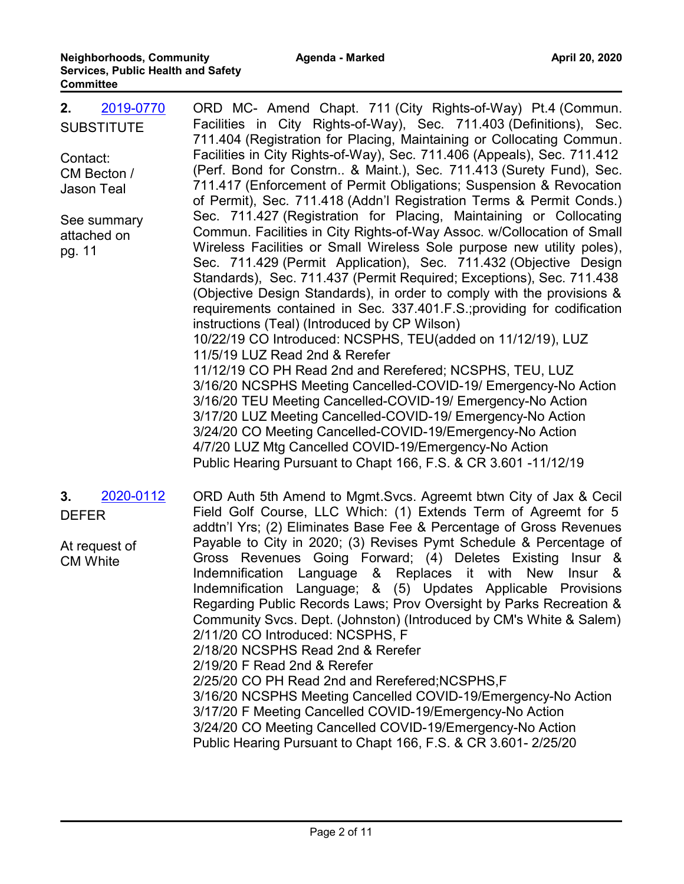| 2019-0770<br>2.<br><b>SUBSTITUTE</b><br>Contact:<br>CM Becton /<br><b>Jason Teal</b><br>See summary<br>attached on<br>pg. 11 | ORD MC- Amend Chapt. 711 (City Rights-of-Way) Pt.4 (Commun.<br>Facilities in City Rights-of-Way), Sec. 711.403 (Definitions), Sec.<br>711.404 (Registration for Placing, Maintaining or Collocating Commun.<br>Facilities in City Rights-of-Way), Sec. 711.406 (Appeals), Sec. 711.412<br>(Perf. Bond for Constrn & Maint.), Sec. 711.413 (Surety Fund), Sec.<br>711.417 (Enforcement of Permit Obligations; Suspension & Revocation<br>of Permit), Sec. 711.418 (Addn'l Registration Terms & Permit Conds.)<br>Sec. 711.427 (Registration for Placing, Maintaining or Collocating<br>Commun. Facilities in City Rights-of-Way Assoc. w/Collocation of Small<br>Wireless Facilities or Small Wireless Sole purpose new utility poles),<br>Sec. 711.429 (Permit Application), Sec. 711.432 (Objective Design<br>Standards), Sec. 711.437 (Permit Required; Exceptions), Sec. 711.438<br>(Objective Design Standards), in order to comply with the provisions &<br>requirements contained in Sec. 337.401.F.S.; providing for codification<br>instructions (Teal) (Introduced by CP Wilson)<br>10/22/19 CO Introduced: NCSPHS, TEU(added on 11/12/19), LUZ<br>11/5/19 LUZ Read 2nd & Rerefer<br>11/12/19 CO PH Read 2nd and Rerefered; NCSPHS, TEU, LUZ<br>3/16/20 NCSPHS Meeting Cancelled-COVID-19/ Emergency-No Action<br>3/16/20 TEU Meeting Cancelled-COVID-19/ Emergency-No Action<br>3/17/20 LUZ Meeting Cancelled-COVID-19/ Emergency-No Action<br>3/24/20 CO Meeting Cancelled-COVID-19/Emergency-No Action<br>4/7/20 LUZ Mtg Cancelled COVID-19/Emergency-No Action<br>Public Hearing Pursuant to Chapt 166, F.S. & CR 3.601 -11/12/19 |
|------------------------------------------------------------------------------------------------------------------------------|------------------------------------------------------------------------------------------------------------------------------------------------------------------------------------------------------------------------------------------------------------------------------------------------------------------------------------------------------------------------------------------------------------------------------------------------------------------------------------------------------------------------------------------------------------------------------------------------------------------------------------------------------------------------------------------------------------------------------------------------------------------------------------------------------------------------------------------------------------------------------------------------------------------------------------------------------------------------------------------------------------------------------------------------------------------------------------------------------------------------------------------------------------------------------------------------------------------------------------------------------------------------------------------------------------------------------------------------------------------------------------------------------------------------------------------------------------------------------------------------------------------------------------------------------------------------------------------------------------------------------------------------|
| 2020-0112<br>3.<br><b>DEFER</b><br>At request of<br><b>CM White</b>                                                          | ORD Auth 5th Amend to Mgmt. Svcs. Agreemt btwn City of Jax & Cecil<br>Field Golf Course, LLC Which: (1) Extends Term of Agreemt for 5<br>addtn'l Yrs; (2) Eliminates Base Fee & Percentage of Gross Revenues<br>Payable to City in 2020; (3) Revises Pymt Schedule & Percentage of<br>Gross Revenues Going Forward; (4) Deletes Existing Insur &<br>Language & Replaces it with<br>Indemnification<br><b>New</b><br><b>Insur</b><br>- &<br>Indemnification Language; & (5) Updates Applicable Provisions<br>Regarding Public Records Laws; Prov Oversight by Parks Recreation &<br>Community Svcs. Dept. (Johnston) (Introduced by CM's White & Salem)<br>2/11/20 CO Introduced: NCSPHS, F<br>2/18/20 NCSPHS Read 2nd & Rerefer<br>2/19/20 F Read 2nd & Rerefer<br>2/25/20 CO PH Read 2nd and Rerefered; NCSPHS, F<br>3/16/20 NCSPHS Meeting Cancelled COVID-19/Emergency-No Action<br>3/17/20 F Meeting Cancelled COVID-19/Emergency-No Action<br>3/24/20 CO Meeting Cancelled COVID-19/Emergency-No Action<br>Public Hearing Pursuant to Chapt 166, F.S. & CR 3.601-2/25/20                                                                                                                                                                                                                                                                                                                                                                                                                                                                                                                                                                  |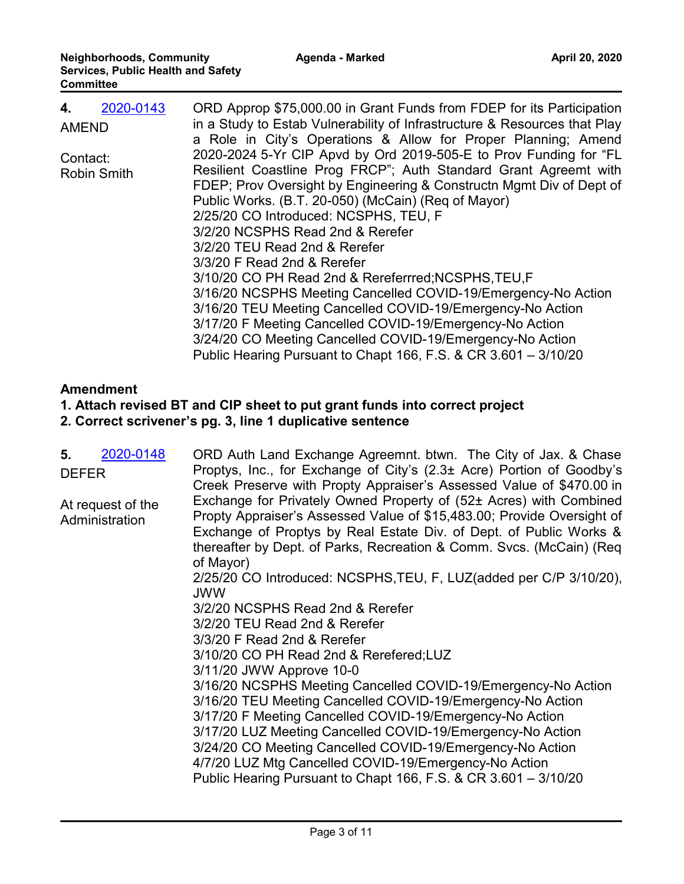| 2020-0143<br>4.    | ORD Approp \$75,000.00 in Grant Funds from FDEP for its Participation     |
|--------------------|---------------------------------------------------------------------------|
| <b>AMEND</b>       | in a Study to Estab Vulnerability of Infrastructure & Resources that Play |
|                    | a Role in City's Operations & Allow for Proper Planning; Amend            |
| Contact:           | 2020-2024 5-Yr CIP Apvd by Ord 2019-505-E to Prov Funding for "FL         |
| <b>Robin Smith</b> | Resilient Coastline Prog FRCP"; Auth Standard Grant Agreemt with          |
|                    | FDEP; Prov Oversight by Engineering & Constructn Mgmt Div of Dept of      |
|                    | Public Works. (B.T. 20-050) (McCain) (Req of Mayor)                       |
|                    | 2/25/20 CO Introduced: NCSPHS, TEU, F                                     |
|                    | 3/2/20 NCSPHS Read 2nd & Rerefer                                          |
|                    | 3/2/20 TEU Read 2nd & Rerefer                                             |
|                    | 3/3/20 F Read 2nd & Rerefer                                               |
|                    | 3/10/20 CO PH Read 2nd & Rereferrred; NCSPHS, TEU, F                      |
|                    | 3/16/20 NCSPHS Meeting Cancelled COVID-19/Emergency-No Action             |
|                    | 3/16/20 TEU Meeting Cancelled COVID-19/Emergency-No Action                |
|                    | 3/17/20 F Meeting Cancelled COVID-19/Emergency-No Action                  |
|                    | 3/24/20 CO Meeting Cancelled COVID-19/Emergency-No Action                 |
|                    | Public Hearing Pursuant to Chapt 166, F.S. & CR 3.601 - 3/10/20           |

## **Amendment**

## **1. Attach revised BT and CIP sheet to put grant funds into correct project**

**2. Correct scrivener's pg. 3, line 1 duplicative sentence**

| 2020-0148<br>5.<br><b>DEFER</b>     | ORD Auth Land Exchange Agreemnt. btwn. The City of Jax. & Chase<br>Proptys, Inc., for Exchange of City's (2.3± Acre) Portion of Goodby's<br>Creek Preserve with Propty Appraiser's Assessed Value of \$470.00 in                                                                                                                                                                                                                               |
|-------------------------------------|------------------------------------------------------------------------------------------------------------------------------------------------------------------------------------------------------------------------------------------------------------------------------------------------------------------------------------------------------------------------------------------------------------------------------------------------|
| At request of the<br>Administration | Exchange for Privately Owned Property of (52± Acres) with Combined<br>Propty Appraiser's Assessed Value of \$15,483.00; Provide Oversight of<br>Exchange of Proptys by Real Estate Div. of Dept. of Public Works &<br>thereafter by Dept. of Parks, Recreation & Comm. Svcs. (McCain) (Req<br>of Mayor)                                                                                                                                        |
|                                     | 2/25/20 CO Introduced: NCSPHS, TEU, F, LUZ(added per C/P 3/10/20),<br><b>JWW</b>                                                                                                                                                                                                                                                                                                                                                               |
|                                     | 3/2/20 NCSPHS Read 2nd & Rerefer                                                                                                                                                                                                                                                                                                                                                                                                               |
|                                     | 3/2/20 TEU Read 2nd & Rerefer                                                                                                                                                                                                                                                                                                                                                                                                                  |
|                                     | 3/3/20 F Read 2nd & Rerefer                                                                                                                                                                                                                                                                                                                                                                                                                    |
|                                     | 3/10/20 CO PH Read 2nd & Rerefered; LUZ                                                                                                                                                                                                                                                                                                                                                                                                        |
|                                     | 3/11/20 JWW Approve 10-0                                                                                                                                                                                                                                                                                                                                                                                                                       |
|                                     | 3/16/20 NCSPHS Meeting Cancelled COVID-19/Emergency-No Action<br>3/16/20 TEU Meeting Cancelled COVID-19/Emergency-No Action<br>3/17/20 F Meeting Cancelled COVID-19/Emergency-No Action<br>3/17/20 LUZ Meeting Cancelled COVID-19/Emergency-No Action<br>3/24/20 CO Meeting Cancelled COVID-19/Emergency-No Action<br>4/7/20 LUZ Mtg Cancelled COVID-19/Emergency-No Action<br>Public Hearing Pursuant to Chapt 166, F.S. & CR 3.601 - 3/10/20 |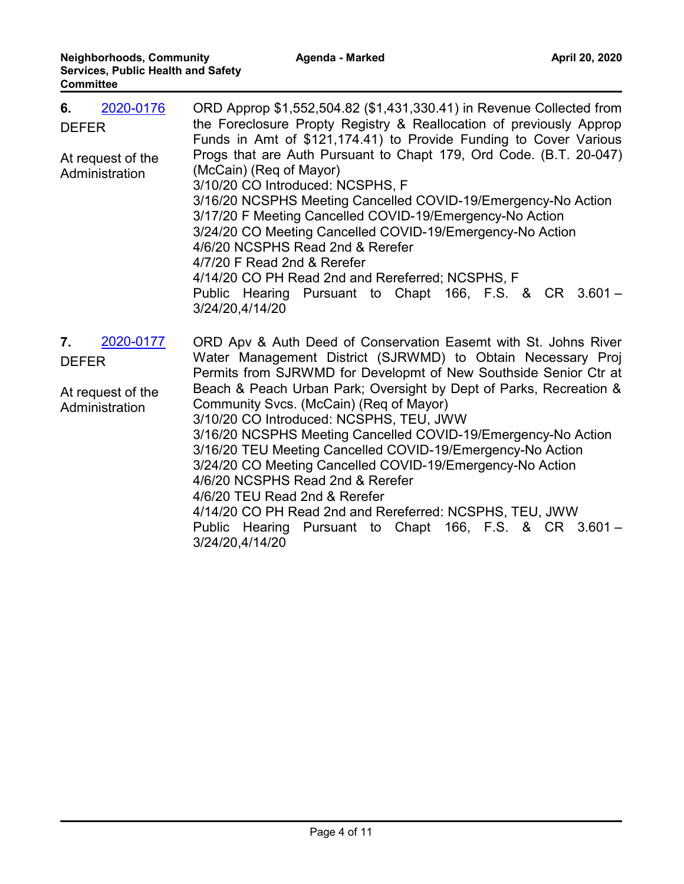| 2020-0176<br>6.<br><b>DEFER</b><br>At request of the<br>Administration | ORD Approp \$1,552,504.82 (\$1,431,330.41) in Revenue Collected from<br>the Foreclosure Propty Registry & Reallocation of previously Approp<br>Funds in Amt of \$121,174.41) to Provide Funding to Cover Various<br>Progs that are Auth Pursuant to Chapt 179, Ord Code. (B.T. 20-047)<br>(McCain) (Req of Mayor)<br>3/10/20 CO Introduced: NCSPHS, F<br>3/16/20 NCSPHS Meeting Cancelled COVID-19/Emergency-No Action<br>3/17/20 F Meeting Cancelled COVID-19/Emergency-No Action<br>3/24/20 CO Meeting Cancelled COVID-19/Emergency-No Action<br>4/6/20 NCSPHS Read 2nd & Rerefer<br>4/7/20 F Read 2nd & Rerefer<br>4/14/20 CO PH Read 2nd and Rereferred; NCSPHS, F<br>Public Hearing Pursuant to Chapt 166, F.S. & CR 3.601 -<br>3/24/20,4/14/20                        |
|------------------------------------------------------------------------|-----------------------------------------------------------------------------------------------------------------------------------------------------------------------------------------------------------------------------------------------------------------------------------------------------------------------------------------------------------------------------------------------------------------------------------------------------------------------------------------------------------------------------------------------------------------------------------------------------------------------------------------------------------------------------------------------------------------------------------------------------------------------------|
| 2020-0177<br>7.<br><b>DEFER</b><br>At request of the<br>Administration | ORD Apv & Auth Deed of Conservation Easemt with St. Johns River<br>Water Management District (SJRWMD) to Obtain Necessary Proj<br>Permits from SJRWMD for Developmt of New Southside Senior Ctr at<br>Beach & Peach Urban Park; Oversight by Dept of Parks, Recreation &<br>Community Svcs. (McCain) (Req of Mayor)<br>3/10/20 CO Introduced: NCSPHS, TEU, JWW<br>3/16/20 NCSPHS Meeting Cancelled COVID-19/Emergency-No Action<br>3/16/20 TEU Meeting Cancelled COVID-19/Emergency-No Action<br>3/24/20 CO Meeting Cancelled COVID-19/Emergency-No Action<br>4/6/20 NCSPHS Read 2nd & Rerefer<br>4/6/20 TEU Read 2nd & Rerefer<br>4/14/20 CO PH Read 2nd and Rereferred: NCSPHS, TEU, JWW<br>Pursuant to Chapt 166, F.S. & CR 3.601 -<br>Public Hearing<br>3/24/20,4/14/20 |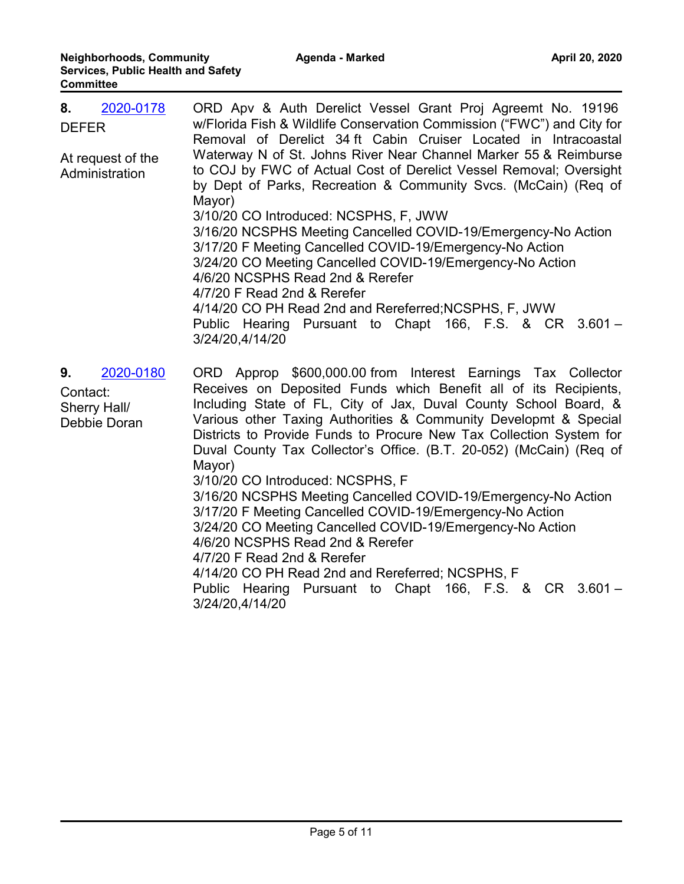| 2020-0178<br>8.<br><b>DEFER</b><br>At request of the<br>Administration | ORD Apv & Auth Derelict Vessel Grant Proj Agreemt No. 19196<br>w/Florida Fish & Wildlife Conservation Commission ("FWC") and City for<br>Removal of Derelict 34 ft Cabin Cruiser Located in Intracoastal<br>Waterway N of St. Johns River Near Channel Marker 55 & Reimburse<br>to COJ by FWC of Actual Cost of Derelict Vessel Removal; Oversight<br>by Dept of Parks, Recreation & Community Svcs. (McCain) (Req of<br>Mayor)                                                                                                                                                                                                                                                                                                                                                                                                                                     |
|------------------------------------------------------------------------|---------------------------------------------------------------------------------------------------------------------------------------------------------------------------------------------------------------------------------------------------------------------------------------------------------------------------------------------------------------------------------------------------------------------------------------------------------------------------------------------------------------------------------------------------------------------------------------------------------------------------------------------------------------------------------------------------------------------------------------------------------------------------------------------------------------------------------------------------------------------|
|                                                                        | 3/10/20 CO Introduced: NCSPHS, F, JWW<br>3/16/20 NCSPHS Meeting Cancelled COVID-19/Emergency-No Action<br>3/17/20 F Meeting Cancelled COVID-19/Emergency-No Action<br>3/24/20 CO Meeting Cancelled COVID-19/Emergency-No Action<br>4/6/20 NCSPHS Read 2nd & Rerefer<br>4/7/20 F Read 2nd & Rerefer<br>4/14/20 CO PH Read 2nd and Rereferred; NCSPHS, F, JWW<br>Public Hearing Pursuant to Chapt 166, F.S. & CR 3.601 -<br>3/24/20,4/14/20                                                                                                                                                                                                                                                                                                                                                                                                                           |
| 2020-0180<br>9.<br>Contact:<br>Sherry Hall/<br>Debbie Doran            | ORD Approp \$600,000.00 from Interest Earnings Tax Collector<br>Receives on Deposited Funds which Benefit all of its Recipients,<br>Including State of FL, City of Jax, Duval County School Board, &<br>Various other Taxing Authorities & Community Developmt & Special<br>Districts to Provide Funds to Procure New Tax Collection System for<br>Duval County Tax Collector's Office. (B.T. 20-052) (McCain) (Req of<br>Mayor)<br>3/10/20 CO Introduced: NCSPHS, F<br>3/16/20 NCSPHS Meeting Cancelled COVID-19/Emergency-No Action<br>3/17/20 F Meeting Cancelled COVID-19/Emergency-No Action<br>3/24/20 CO Meeting Cancelled COVID-19/Emergency-No Action<br>4/6/20 NCSPHS Read 2nd & Rerefer<br>4/7/20 F Read 2nd & Rerefer<br>4/14/20 CO PH Read 2nd and Rereferred; NCSPHS, F<br>Public Hearing Pursuant to Chapt 166, F.S. & CR 3.601 -<br>3/24/20,4/14/20 |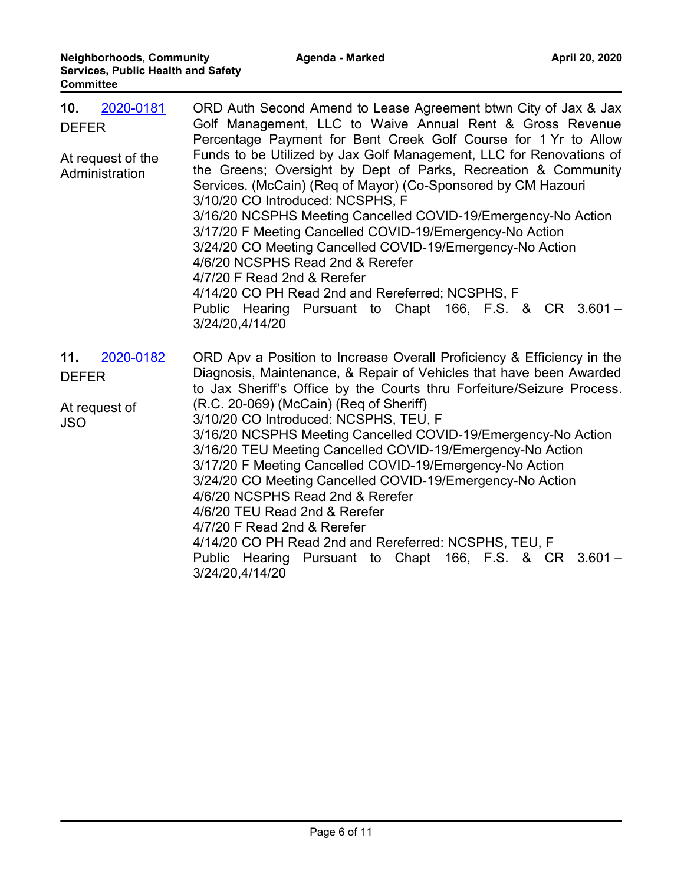| 2020-0181<br>10.<br><b>DEFER</b><br>At request of the<br>Administration | ORD Auth Second Amend to Lease Agreement btwn City of Jax & Jax<br>Golf Management, LLC to Waive Annual Rent & Gross Revenue<br>Percentage Payment for Bent Creek Golf Course for 1 Yr to Allow<br>Funds to be Utilized by Jax Golf Management, LLC for Renovations of<br>the Greens; Oversight by Dept of Parks, Recreation & Community<br>Services. (McCain) (Req of Mayor) (Co-Sponsored by CM Hazouri<br>3/10/20 CO Introduced: NCSPHS, F<br>3/16/20 NCSPHS Meeting Cancelled COVID-19/Emergency-No Action<br>3/17/20 F Meeting Cancelled COVID-19/Emergency-No Action<br>3/24/20 CO Meeting Cancelled COVID-19/Emergency-No Action<br>4/6/20 NCSPHS Read 2nd & Rerefer<br>4/7/20 F Read 2nd & Rerefer<br>4/14/20 CO PH Read 2nd and Rereferred; NCSPHS, F<br>Public Hearing Pursuant to Chapt 166, F.S. & CR 3.601 -<br>3/24/20,4/14/20 |
|-------------------------------------------------------------------------|----------------------------------------------------------------------------------------------------------------------------------------------------------------------------------------------------------------------------------------------------------------------------------------------------------------------------------------------------------------------------------------------------------------------------------------------------------------------------------------------------------------------------------------------------------------------------------------------------------------------------------------------------------------------------------------------------------------------------------------------------------------------------------------------------------------------------------------------|
| 2020-0182<br>11.<br><b>DEFER</b><br>At request of<br><b>JSO</b>         | ORD Apv a Position to Increase Overall Proficiency & Efficiency in the<br>Diagnosis, Maintenance, & Repair of Vehicles that have been Awarded<br>to Jax Sheriff's Office by the Courts thru Forfeiture/Seizure Process.<br>(R.C. 20-069) (McCain) (Req of Sheriff)<br>3/10/20 CO Introduced: NCSPHS, TEU, F<br>3/16/20 NCSPHS Meeting Cancelled COVID-19/Emergency-No Action<br>3/16/20 TEU Meeting Cancelled COVID-19/Emergency-No Action<br>3/17/20 F Meeting Cancelled COVID-19/Emergency-No Action<br>3/24/20 CO Meeting Cancelled COVID-19/Emergency-No Action<br>4/6/20 NCSPHS Read 2nd & Rerefer<br>4/6/20 TEU Read 2nd & Rerefer<br>4/7/20 F Read 2nd & Rerefer<br>4/14/20 CO PH Read 2nd and Rereferred: NCSPHS, TEU, F<br>Pursuant to Chapt 166, F.S. & CR 3.601 -<br>Public Hearing<br>3/24/20,4/14/20                            |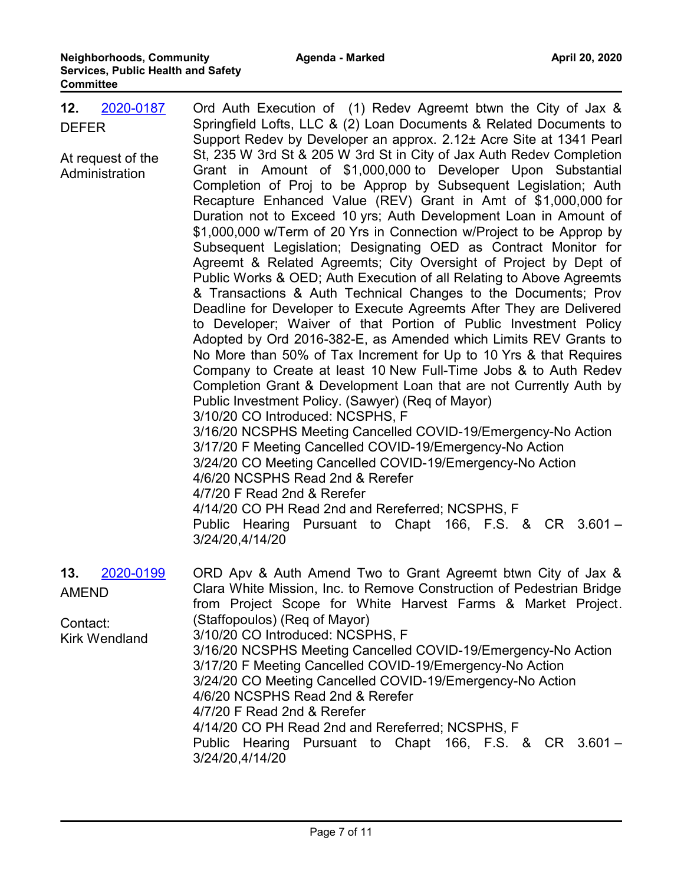| 2020-0187<br>12.<br><b>DEFER</b><br>At request of the<br>Administration | Ord Auth Execution of (1) Redev Agreemt btwn the City of Jax &<br>Springfield Lofts, LLC & (2) Loan Documents & Related Documents to<br>Support Redev by Developer an approx. 2.12± Acre Site at 1341 Pearl<br>St, 235 W 3rd St & 205 W 3rd St in City of Jax Auth Redev Completion<br>Grant in Amount of \$1,000,000 to Developer Upon Substantial<br>Completion of Proj to be Approp by Subsequent Legislation; Auth<br>Recapture Enhanced Value (REV) Grant in Amt of \$1,000,000 for<br>Duration not to Exceed 10 yrs; Auth Development Loan in Amount of<br>\$1,000,000 w/Term of 20 Yrs in Connection w/Project to be Approp by<br>Subsequent Legislation; Designating OED as Contract Monitor for<br>Agreemt & Related Agreemts; City Oversight of Project by Dept of<br>Public Works & OED; Auth Execution of all Relating to Above Agreemts<br>& Transactions & Auth Technical Changes to the Documents; Prov<br>Deadline for Developer to Execute Agreemts After They are Delivered<br>to Developer; Waiver of that Portion of Public Investment Policy<br>Adopted by Ord 2016-382-E, as Amended which Limits REV Grants to<br>No More than 50% of Tax Increment for Up to 10 Yrs & that Requires<br>Company to Create at least 10 New Full-Time Jobs & to Auth Redev<br>Completion Grant & Development Loan that are not Currently Auth by<br>Public Investment Policy. (Sawyer) (Req of Mayor)<br>3/10/20 CO Introduced: NCSPHS, F<br>3/16/20 NCSPHS Meeting Cancelled COVID-19/Emergency-No Action<br>3/17/20 F Meeting Cancelled COVID-19/Emergency-No Action<br>3/24/20 CO Meeting Cancelled COVID-19/Emergency-No Action<br>4/6/20 NCSPHS Read 2nd & Rerefer<br>4/7/20 F Read 2nd & Rerefer<br>4/14/20 CO PH Read 2nd and Rereferred; NCSPHS, F<br>Public Hearing Pursuant to Chapt 166, F.S. & CR 3.601 - |
|-------------------------------------------------------------------------|----------------------------------------------------------------------------------------------------------------------------------------------------------------------------------------------------------------------------------------------------------------------------------------------------------------------------------------------------------------------------------------------------------------------------------------------------------------------------------------------------------------------------------------------------------------------------------------------------------------------------------------------------------------------------------------------------------------------------------------------------------------------------------------------------------------------------------------------------------------------------------------------------------------------------------------------------------------------------------------------------------------------------------------------------------------------------------------------------------------------------------------------------------------------------------------------------------------------------------------------------------------------------------------------------------------------------------------------------------------------------------------------------------------------------------------------------------------------------------------------------------------------------------------------------------------------------------------------------------------------------------------------------------------------------------------------------------------------------------------------------------------------------------------------------------------------------|
|                                                                         | 3/24/20,4/14/20                                                                                                                                                                                                                                                                                                                                                                                                                                                                                                                                                                                                                                                                                                                                                                                                                                                                                                                                                                                                                                                                                                                                                                                                                                                                                                                                                                                                                                                                                                                                                                                                                                                                                                                                                                                                            |
| 2020-0199<br>13.<br><b>AMEND</b><br>Contact:<br><b>Kirk Wendland</b>    | ORD Apv & Auth Amend Two to Grant Agreemt btwn City of Jax &<br>Clara White Mission, Inc. to Remove Construction of Pedestrian Bridge<br>from Project Scope for White Harvest Farms & Market Project.<br>(Staffopoulos) (Req of Mayor)<br>3/10/20 CO Introduced: NCSPHS, F<br>3/16/20 NCSPHS Meeting Cancelled COVID-19/Emergency-No Action<br>3/17/20 F Meeting Cancelled COVID-19/Emergency-No Action<br>3/24/20 CO Meeting Cancelled COVID-19/Emergency-No Action<br>4/6/20 NCSPHS Read 2nd & Rerefer<br>4/7/20 F Read 2nd & Rerefer<br>4/14/20 CO PH Read 2nd and Rereferred; NCSPHS, F<br>Public Hearing Pursuant to Chapt 166, F.S. & CR 3.601 -<br>3/24/20,4/14/20                                                                                                                                                                                                                                                                                                                                                                                                                                                                                                                                                                                                                                                                                                                                                                                                                                                                                                                                                                                                                                                                                                                                                  |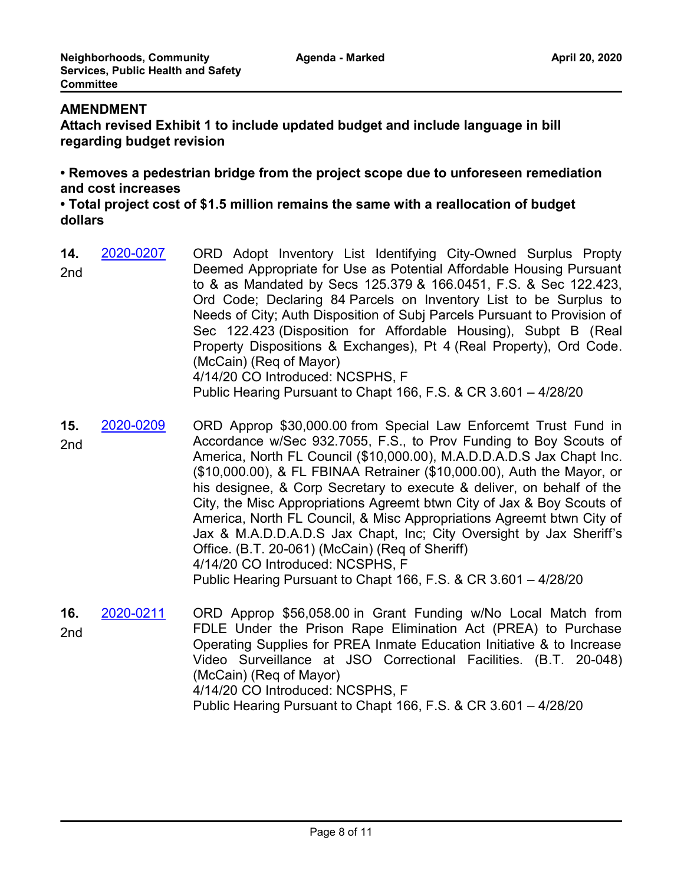## **AMENDMENT**

**Attach revised Exhibit 1 to include updated budget and include language in bill regarding budget revision**

**• Removes a pedestrian bridge from the project scope due to unforeseen remediation and cost increases**

**• Total project cost of \$1.5 million remains the same with a reallocation of budget dollars**

- ORD Adopt Inventory List Identifying City-Owned Surplus Propty Deemed Appropriate for Use as Potential Affordable Housing Pursuant to & as Mandated by Secs 125.379 & 166.0451, F.S. & Sec 122.423, Ord Code; Declaring 84 Parcels on Inventory List to be Surplus to Needs of City; Auth Disposition of Subj Parcels Pursuant to Provision of Sec 122.423 (Disposition for Affordable Housing), Subpt B (Real Property Dispositions & Exchanges), Pt 4 (Real Property), Ord Code. (McCain) (Req of Mayor) 4/14/20 CO Introduced: NCSPHS, F Public Hearing Pursuant to Chapt 166, F.S. & CR 3.601 – 4/28/20 **14.** [2020-0207](http://jaxcityc.legistar.com/gateway.aspx?m=l&id=/matter.aspx?key=2280) 2nd
- ORD Approp \$30,000.00 from Special Law Enforcemt Trust Fund in Accordance w/Sec 932.7055, F.S., to Prov Funding to Boy Scouts of America, North FL Council (\$10,000.00), M.A.D.D.A.D.S Jax Chapt Inc. (\$10,000.00), & FL FBINAA Retrainer (\$10,000.00), Auth the Mayor, or his designee, & Corp Secretary to execute & deliver, on behalf of the City, the Misc Appropriations Agreemt btwn City of Jax & Boy Scouts of America, North FL Council, & Misc Appropriations Agreemt btwn City of Jax & M.A.D.D.A.D.S Jax Chapt, Inc; City Oversight by Jax Sheriff's Office. (B.T. 20-061) (McCain) (Req of Sheriff) 4/14/20 CO Introduced: NCSPHS, F Public Hearing Pursuant to Chapt 166, F.S. & CR 3.601 – 4/28/20 **15.** [2020-0209](http://jaxcityc.legistar.com/gateway.aspx?m=l&id=/matter.aspx?key=2282) 2nd
- ORD Approp \$56,058.00 in Grant Funding w/No Local Match from FDLE Under the Prison Rape Elimination Act (PREA) to Purchase Operating Supplies for PREA Inmate Education Initiative & to Increase Video Surveillance at JSO Correctional Facilities. (B.T. 20-048) (McCain) (Req of Mayor) 4/14/20 CO Introduced: NCSPHS, F Public Hearing Pursuant to Chapt 166, F.S. & CR 3.601 – 4/28/20 **16.** [2020-0211](http://jaxcityc.legistar.com/gateway.aspx?m=l&id=/matter.aspx?key=2284) 2nd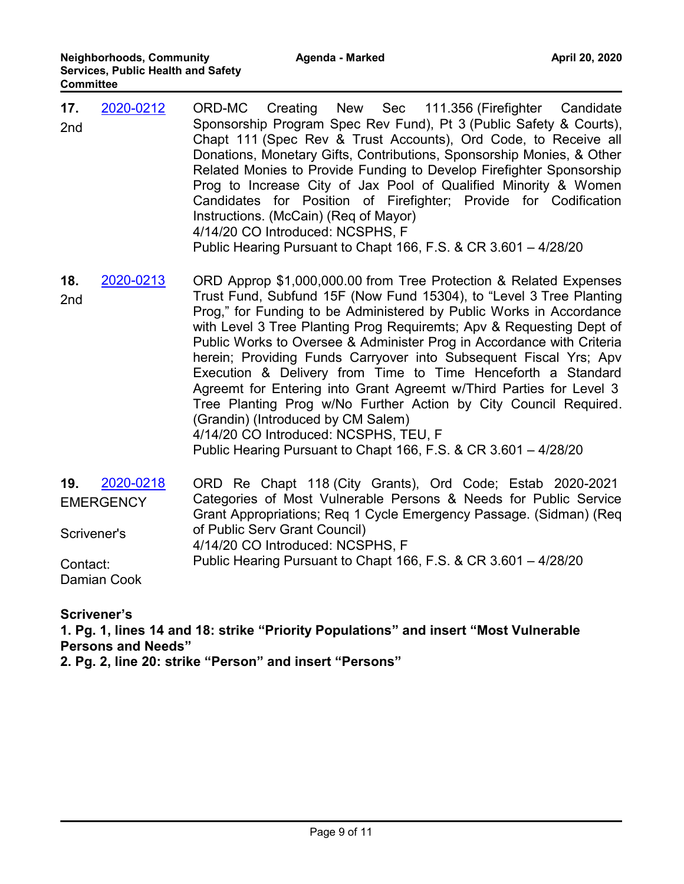- ORD-MC Creating New Sec 111.356 (Firefighter Candidate Sponsorship Program Spec Rev Fund), Pt 3 (Public Safety & Courts), Chapt 111 (Spec Rev & Trust Accounts), Ord Code, to Receive all Donations, Monetary Gifts, Contributions, Sponsorship Monies, & Other Related Monies to Provide Funding to Develop Firefighter Sponsorship Prog to Increase City of Jax Pool of Qualified Minority & Women Candidates for Position of Firefighter; Provide for Codification Instructions. (McCain) (Req of Mayor) 4/14/20 CO Introduced: NCSPHS, F Public Hearing Pursuant to Chapt 166, F.S. & CR 3.601 – 4/28/20 **17.** [2020-0212](http://jaxcityc.legistar.com/gateway.aspx?m=l&id=/matter.aspx?key=2285) 2nd
- ORD Approp \$1,000,000.00 from Tree Protection & Related Expenses Trust Fund, Subfund 15F (Now Fund 15304), to "Level 3 Tree Planting Prog," for Funding to be Administered by Public Works in Accordance with Level 3 Tree Planting Prog Requiremts; Apv & Requesting Dept of Public Works to Oversee & Administer Prog in Accordance with Criteria herein; Providing Funds Carryover into Subsequent Fiscal Yrs; Apv Execution & Delivery from Time to Time Henceforth a Standard Agreemt for Entering into Grant Agreemt w/Third Parties for Level 3 Tree Planting Prog w/No Further Action by City Council Required. (Grandin) (Introduced by CM Salem) 4/14/20 CO Introduced: NCSPHS, TEU, F Public Hearing Pursuant to Chapt 166, F.S. & CR 3.601 – 4/28/20 **18.** [2020-0213](http://jaxcityc.legistar.com/gateway.aspx?m=l&id=/matter.aspx?key=2286) 2nd
- ORD Re Chapt 118 (City Grants), Ord Code; Estab 2020-2021 Categories of Most Vulnerable Persons & Needs for Public Service Grant Appropriations; Req 1 Cycle Emergency Passage. (Sidman) (Req of Public Serv Grant Council) 4/14/20 CO Introduced: NCSPHS, F Public Hearing Pursuant to Chapt 166, F.S. & CR 3.601 – 4/28/20 **19.** [2020-0218](http://jaxcityc.legistar.com/gateway.aspx?m=l&id=/matter.aspx?key=2291) **EMERGENCY** Scrivener's Contact: Damian Cook

**Scrivener's**

**1. Pg. 1, lines 14 and 18: strike "Priority Populations" and insert "Most Vulnerable Persons and Needs"** 

**2. Pg. 2, line 20: strike "Person" and insert "Persons"**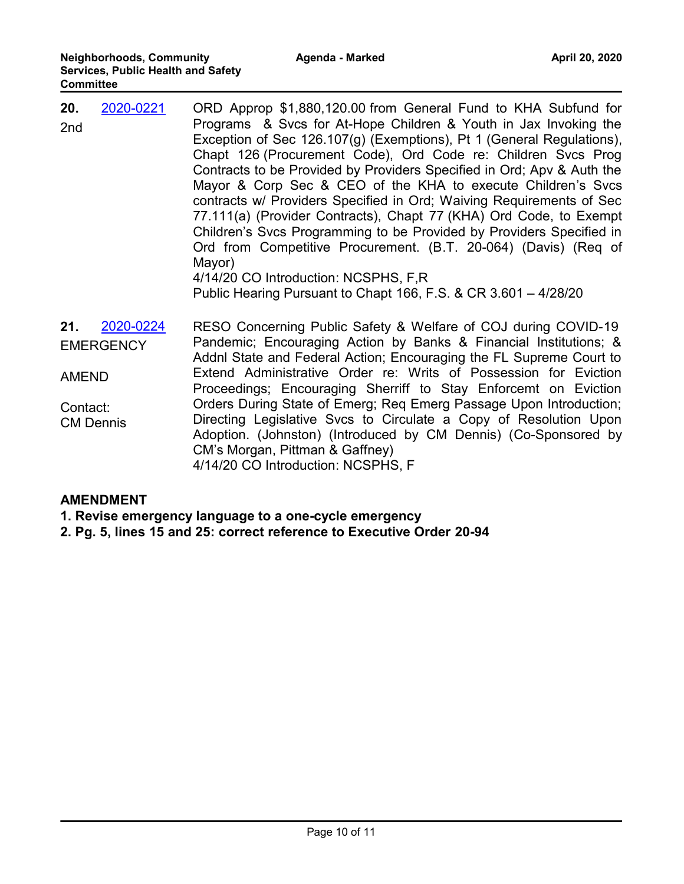| 20.<br>2nd                                          | 2020-0221                     | ORD Approp \$1,880,120.00 from General Fund to KHA Subfund for<br>Programs & Svcs for At-Hope Children & Youth in Jax Invoking the<br>Exception of Sec 126.107(g) (Exemptions), Pt 1 (General Regulations),<br>Chapt 126 (Procurement Code), Ord Code re: Children Svcs Prog<br>Contracts to be Provided by Providers Specified in Ord; Apv & Auth the<br>Mayor & Corp Sec & CEO of the KHA to execute Children's Svcs<br>contracts w/ Providers Specified in Ord; Waiving Requirements of Sec<br>77.111(a) (Provider Contracts), Chapt 77 (KHA) Ord Code, to Exempt<br>Children's Svcs Programming to be Provided by Providers Specified in<br>Ord from Competitive Procurement. (B.T. 20-064) (Davis) (Req of<br>Mayor)<br>4/14/20 CO Introduction: NCSPHS, F,R<br>Public Hearing Pursuant to Chapt 166, F.S. & CR 3.601 - 4/28/20 |
|-----------------------------------------------------|-------------------------------|--------------------------------------------------------------------------------------------------------------------------------------------------------------------------------------------------------------------------------------------------------------------------------------------------------------------------------------------------------------------------------------------------------------------------------------------------------------------------------------------------------------------------------------------------------------------------------------------------------------------------------------------------------------------------------------------------------------------------------------------------------------------------------------------------------------------------------------|
| 21.<br><b>AMEND</b><br>Contact:<br><b>CM Dennis</b> | 2020-0224<br><b>EMERGENCY</b> | RESO Concerning Public Safety & Welfare of COJ during COVID-19<br>Pandemic; Encouraging Action by Banks & Financial Institutions; &<br>Addnl State and Federal Action; Encouraging the FL Supreme Court to<br>Extend Administrative Order re: Writs of Possession for Eviction<br>Proceedings; Encouraging Sherriff to Stay Enforcemt on Eviction<br>Orders During State of Emerg; Req Emerg Passage Upon Introduction;<br>Directing Legislative Svcs to Circulate a Copy of Resolution Upon<br>Adoption. (Johnston) (Introduced by CM Dennis) (Co-Sponsored by<br>CM's Morgan, Pittman & Gaffney)                                                                                                                                                                                                                                   |

4/14/20 CO Introduction: NCSPHS, F

### **AMENDMENT**

- **1. Revise emergency language to a one-cycle emergency**
- **2. Pg. 5, lines 15 and 25: correct reference to Executive Order 20-94**